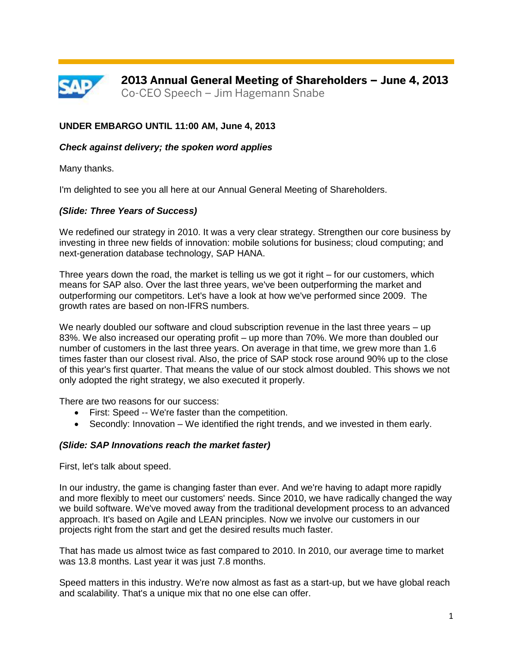

# **UNDER EMBARGO UNTIL 11:00 AM, June 4, 2013**

### *Check against delivery; the spoken word applies*

Many thanks.

I'm delighted to see you all here at our Annual General Meeting of Shareholders.

### *(Slide: Three Years of Success)*

We redefined our strategy in 2010. It was a very clear strategy. Strengthen our core business by investing in three new fields of innovation: mobile solutions for business; cloud computing; and next-generation database technology, SAP HANA.

Three years down the road, the market is telling us we got it right – for our customers, which means for SAP also. Over the last three years, we've been outperforming the market and outperforming our competitors. Let's have a look at how we've performed since 2009. The growth rates are based on non-IFRS numbers.

We nearly doubled our software and cloud subscription revenue in the last three years – up 83%. We also increased our operating profit – up more than 70%. We more than doubled our number of customers in the last three years. On average in that time, we grew more than 1.6 times faster than our closest rival. Also, the price of SAP stock rose around 90% up to the close of this year's first quarter. That means the value of our stock almost doubled. This shows we not only adopted the right strategy, we also executed it properly.

There are two reasons for our success:

- First: Speed -- We're faster than the competition.
- Secondly: Innovation We identified the right trends, and we invested in them early.

### *(Slide: SAP Innovations reach the market faster)*

First, let's talk about speed.

In our industry, the game is changing faster than ever. And we're having to adapt more rapidly and more flexibly to meet our customers' needs. Since 2010, we have radically changed the way we build software. We've moved away from the traditional development process to an advanced approach. It's based on Agile and LEAN principles. Now we involve our customers in our projects right from the start and get the desired results much faster.

That has made us almost twice as fast compared to 2010. In 2010, our average time to market was 13.8 months. Last year it was just 7.8 months.

Speed matters in this industry. We're now almost as fast as a start-up, but we have global reach and scalability. That's a unique mix that no one else can offer.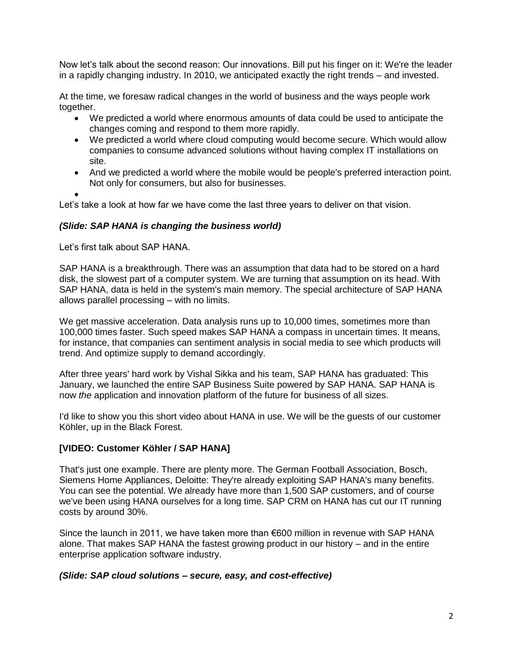Now let's talk about the second reason: Our innovations. Bill put his finger on it: We're the leader in a rapidly changing industry. In 2010, we anticipated exactly the right trends – and invested.

At the time, we foresaw radical changes in the world of business and the ways people work together.

- We predicted a world where enormous amounts of data could be used to anticipate the changes coming and respond to them more rapidly.
- We predicted a world where cloud computing would become secure. Which would allow companies to consume advanced solutions without having complex IT installations on site.
- And we predicted a world where the mobile would be people's preferred interaction point. Not only for consumers, but also for businesses.
- $\bullet$

Let's take a look at how far we have come the last three years to deliver on that vision.

### *(Slide: SAP HANA is changing the business world)*

Let's first talk about SAP HANA.

SAP HANA is a breakthrough. There was an assumption that data had to be stored on a hard disk, the slowest part of a computer system. We are turning that assumption on its head. With SAP HANA, data is held in the system's main memory. The special architecture of SAP HANA allows parallel processing – with no limits.

We get massive acceleration. Data analysis runs up to 10,000 times, sometimes more than 100,000 times faster. Such speed makes SAP HANA a compass in uncertain times. It means, for instance, that companies can sentiment analysis in social media to see which products will trend. And optimize supply to demand accordingly.

After three years' hard work by Vishal Sikka and his team, SAP HANA has graduated: This January, we launched the entire SAP Business Suite powered by SAP HANA. SAP HANA is now *the* application and innovation platform of the future for business of all sizes.

I'd like to show you this short video about HANA in use. We will be the guests of our customer Köhler, up in the Black Forest.

### **[VIDEO: Customer Köhler / SAP HANA]**

That's just one example. There are plenty more. The German Football Association, Bosch, Siemens Home Appliances, Deloitte: They're already exploiting SAP HANA's many benefits. You can see the potential. We already have more than 1,500 SAP customers, and of course we've been using HANA ourselves for a long time. SAP CRM on HANA has cut our IT running costs by around 30%.

Since the launch in 2011, we have taken more than €600 million in revenue with SAP HANA alone. That makes SAP HANA the fastest growing product in our history – and in the entire enterprise application software industry.

### *(Slide: SAP cloud solutions – secure, easy, and cost-effective)*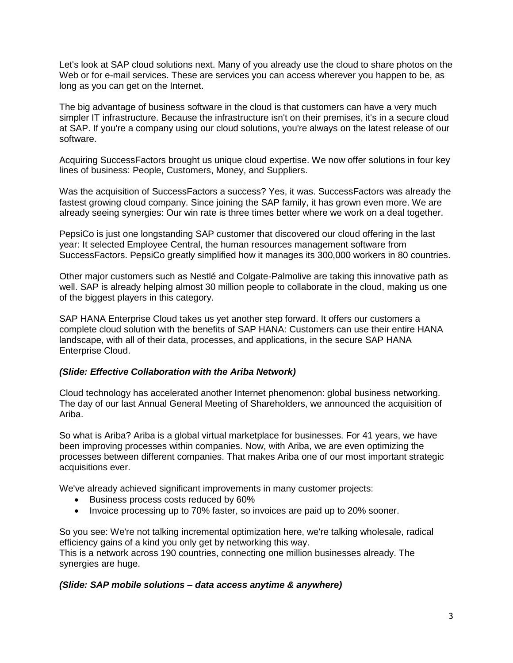Let's look at SAP cloud solutions next. Many of you already use the cloud to share photos on the Web or for e-mail services. These are services you can access wherever you happen to be, as long as you can get on the Internet.

The big advantage of business software in the cloud is that customers can have a very much simpler IT infrastructure. Because the infrastructure isn't on their premises, it's in a secure cloud at SAP. If you're a company using our cloud solutions, you're always on the latest release of our software.

Acquiring SuccessFactors brought us unique cloud expertise. We now offer solutions in four key lines of business: People, Customers, Money, and Suppliers.

Was the acquisition of SuccessFactors a success? Yes, it was. SuccessFactors was already the fastest growing cloud company. Since joining the SAP family, it has grown even more. We are already seeing synergies: Our win rate is three times better where we work on a deal together.

PepsiCo is just one longstanding SAP customer that discovered our cloud offering in the last year: It selected Employee Central, the human resources management software from SuccessFactors. PepsiCo greatly simplified how it manages its 300,000 workers in 80 countries.

Other major customers such as Nestlé and Colgate-Palmolive are taking this innovative path as well. SAP is already helping almost 30 million people to collaborate in the cloud, making us one of the biggest players in this category.

SAP HANA Enterprise Cloud takes us yet another step forward. It offers our customers a complete cloud solution with the benefits of SAP HANA: Customers can use their entire HANA landscape, with all of their data, processes, and applications, in the secure SAP HANA Enterprise Cloud.

# *(Slide: Effective Collaboration with the Ariba Network)*

Cloud technology has accelerated another Internet phenomenon: global business networking. The day of our last Annual General Meeting of Shareholders, we announced the acquisition of Ariba.

So what is Ariba? Ariba is a global virtual marketplace for businesses. For 41 years, we have been improving processes within companies. Now, with Ariba, we are even optimizing the processes between different companies. That makes Ariba one of our most important strategic acquisitions ever.

We've already achieved significant improvements in many customer projects:

- **Business process costs reduced by 60%**
- Invoice processing up to 70% faster, so invoices are paid up to 20% sooner.

So you see: We're not talking incremental optimization here, we're talking wholesale, radical efficiency gains of a kind you only get by networking this way.

This is a network across 190 countries, connecting one million businesses already. The synergies are huge.

# *(Slide: SAP mobile solutions – data access anytime & anywhere)*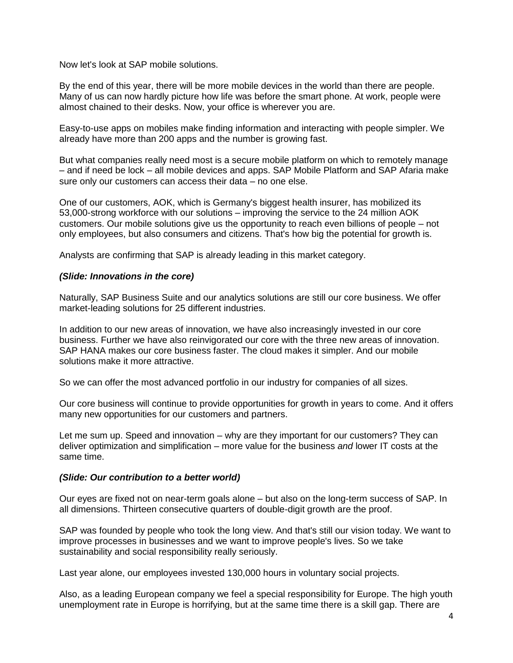Now let's look at SAP mobile solutions.

By the end of this year, there will be more mobile devices in the world than there are people. Many of us can now hardly picture how life was before the smart phone. At work, people were almost chained to their desks. Now, your office is wherever you are.

Easy-to-use apps on mobiles make finding information and interacting with people simpler. We already have more than 200 apps and the number is growing fast.

But what companies really need most is a secure mobile platform on which to remotely manage – and if need be lock – all mobile devices and apps. SAP Mobile Platform and SAP Afaria make sure only our customers can access their data – no one else.

One of our customers, AOK, which is Germany's biggest health insurer, has mobilized its 53,000-strong workforce with our solutions – improving the service to the 24 million AOK customers. Our mobile solutions give us the opportunity to reach even billions of people – not only employees, but also consumers and citizens. That's how big the potential for growth is.

Analysts are confirming that SAP is already leading in this market category.

### *(Slide: Innovations in the core)*

Naturally, SAP Business Suite and our analytics solutions are still our core business. We offer market-leading solutions for 25 different industries.

In addition to our new areas of innovation, we have also increasingly invested in our core business. Further we have also reinvigorated our core with the three new areas of innovation. SAP HANA makes our core business faster. The cloud makes it simpler. And our mobile solutions make it more attractive.

So we can offer the most advanced portfolio in our industry for companies of all sizes.

Our core business will continue to provide opportunities for growth in years to come. And it offers many new opportunities for our customers and partners.

Let me sum up. Speed and innovation – why are they important for our customers? They can deliver optimization and simplification – more value for the business *and* lower IT costs at the same time.

### *(Slide: Our contribution to a better world)*

Our eyes are fixed not on near-term goals alone – but also on the long-term success of SAP. In all dimensions. Thirteen consecutive quarters of double-digit growth are the proof.

SAP was founded by people who took the long view. And that's still our vision today. We want to improve processes in businesses and we want to improve people's lives. So we take sustainability and social responsibility really seriously.

Last year alone, our employees invested 130,000 hours in voluntary social projects.

Also, as a leading European company we feel a special responsibility for Europe. The high youth unemployment rate in Europe is horrifying, but at the same time there is a skill gap. There are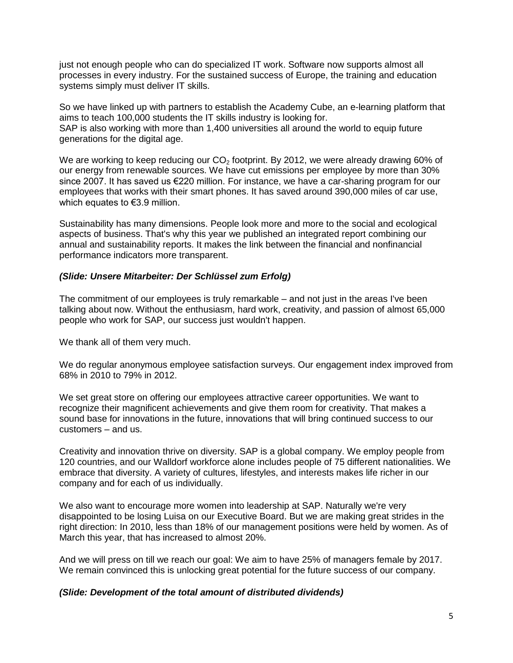just not enough people who can do specialized IT work. Software now supports almost all processes in every industry. For the sustained success of Europe, the training and education systems simply must deliver IT skills.

So we have linked up with partners to establish the Academy Cube, an e-learning platform that aims to teach 100,000 students the IT skills industry is looking for. SAP is also working with more than 1,400 universities all around the world to equip future generations for the digital age.

We are working to keep reducing our  $CO<sub>2</sub>$  footprint. By 2012, we were already drawing 60% of our energy from renewable sources. We have cut emissions per employee by more than 30% since 2007. It has saved us €220 million. For instance, we have a car-sharing program for our employees that works with their smart phones. It has saved around 390,000 miles of car use, which equates to €3.9 million.

Sustainability has many dimensions. People look more and more to the social and ecological aspects of business. That's why this year we published an integrated report combining our annual and sustainability reports. It makes the link between the financial and nonfinancial performance indicators more transparent.

# *(Slide: Unsere Mitarbeiter: Der Schlüssel zum Erfolg)*

The commitment of our employees is truly remarkable – and not just in the areas I've been talking about now. Without the enthusiasm, hard work, creativity, and passion of almost 65,000 people who work for SAP, our success just wouldn't happen.

We thank all of them very much.

We do regular anonymous employee satisfaction surveys. Our engagement index improved from 68% in 2010 to 79% in 2012.

We set great store on offering our employees attractive career opportunities. We want to recognize their magnificent achievements and give them room for creativity. That makes a sound base for innovations in the future, innovations that will bring continued success to our customers – and us.

Creativity and innovation thrive on diversity. SAP is a global company. We employ people from 120 countries, and our Walldorf workforce alone includes people of 75 different nationalities. We embrace that diversity. A variety of cultures, lifestyles, and interests makes life richer in our company and for each of us individually.

We also want to encourage more women into leadership at SAP. Naturally we're very disappointed to be losing Luisa on our Executive Board. But we are making great strides in the right direction: In 2010, less than 18% of our management positions were held by women. As of March this year, that has increased to almost 20%.

And we will press on till we reach our goal: We aim to have 25% of managers female by 2017. We remain convinced this is unlocking great potential for the future success of our company.

# *(Slide: Development of the total amount of distributed dividends)*